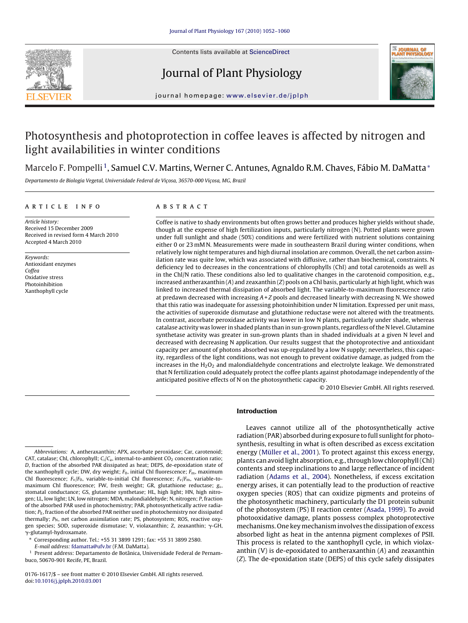

Contents lists available at [ScienceDirect](http://www.sciencedirect.com/science/journal/01761617)

# Journal of Plant Physiology



journal homepage: [www.elsevier.de/jplph](http://www.elsevier.de/jplph)

# Photosynthesis and photoprotection in coffee leaves is affected by nitrogen and light availabilities in winter conditions

Marcelo F. Pompelli<sup>1</sup>, Samuel C.V. Martins, Werner C. Antunes, Agnaldo R.M. Chaves, Fábio M. DaMatta<sup>\*</sup>

Departamento de Biologia Vegetal, Universidade Federal de Viçosa, 36570-000 Viçosa, MG, Brazil

# article info

# **ABSTRACT**

Article history: Received 15 December 2009 Received in revised form 4 March 2010 Accepted 4 March 2010

Keywords: Antioxidant enzymes Coffea Oxidative stress Photoinhibition Xanthophyll cycle

Coffee is native to shady environments but often grows better and produces higher yields without shade, though at the expense of high fertilization inputs, particularly nitrogen (N). Potted plants were grown under full sunlight and shade (50%) conditions and were fertilized with nutrient solutions containing either 0 or 23 mM N. Measurements were made in southeastern Brazil during winter conditions, when relatively low night temperatures and high diurnal insolation are common. Overall, the net carbon assimilation rate was quite low, which was associated with diffusive, rather than biochemical, constraints. N deficiency led to decreases in the concentrations of chlorophylls (Chl) and total carotenoids as well as in the Chl/N ratio. These conditions also led to qualitative changes in the carotenoid composition, e.g., increased antheraxanthin  $(A)$  and zeaxanthin  $(Z)$  pools on a Chl basis, particularly at high light, which was linked to increased thermal dissipation of absorbed light. The variable-to-maximum fluorescence ratio at predawn decreased with increasing A + Z pools and decreased linearly with decreasing N. We showed that this ratio was inadequate for assessing photoinhibition under N limitation. Expressed per unit mass, the activities of superoxide dismutase and glutathione reductase were not altered with the treatments. In contrast, ascorbate peroxidase activity was lower in low N plants, particularly under shade, whereas catalase activity was lower in shaded plants than in sun-grown plants, regardless of the N level. Glutamine synthetase activity was greater in sun-grown plants than in shaded individuals at a given N level and decreased with decreasing N application. Our results suggest that the photoprotective and antioxidant capacity per amount of photons absorbed was up-regulated by a low N supply; nevertheless, this capacity, regardless of the light conditions, was not enough to prevent oxidative damage, as judged from the increases in the  $H_2O_2$  and malondialdehyde concentrations and electrolyte leakage. We demonstrated that N fertilization could adequately protect the coffee plants against photodamage independently of the anticipated positive effects of N on the photosynthetic capacity.

© 2010 Elsevier GmbH. All rights reserved.

# **Introduction**

∗ Corresponding author. Tel.: +55 31 3899 1291; fax: +55 31 3899 2580.

E-mail address: [fdamatta@ufv.br](mailto:fdamatta@ufv.br) (F.M. DaMatta).

<sup>1</sup> Present address: Departamento de Botânica, Universidade Federal de Pernambuco, 50670-901 Recife, PE, Brazil.

0176-1617/\$ – see front matter © 2010 Elsevier GmbH. All rights reserved. doi:[10.1016/j.jplph.2010.03.001](dx.doi.org/10.1016/j.jplph.2010.03.001)

Leaves cannot utilize all of the photosynthetically active radiation (PAR) absorbed during exposure to full sunlight for photosynthesis, resulting in what is often described as excess excitation energy ([Müller et al., 2001\).](#page-8-0) To protect against this excess energy, plants can avoid light absorption, e.g., through low chlorophyll (Chl) contents and steep inclinations to and large reflectance of incident radiation ([Adams et al., 2004\).](#page-7-0) Nonetheless, if excess excitation energy arises, it can potentially lead to the production of reactive oxygen species (ROS) that can oxidize pigments and proteins of the photosynthetic machinery, particularly the D1 protein subunit of the photosystem (PS) II reaction center ([Asada, 1999\).](#page-7-0) To avoid photooxidative damage, plants possess complex photoprotective mechanisms. One key mechanism involves the dissipation of excess absorbed light as heat in the antenna pigment complexes of PSII. This process is related to the xanthophyll cycle, in which violaxanthin (V) is de-epoxidated to antheraxanthin (A) and zeaxanthin (Z). The de-epoxidation state (DEPS) of this cycle safely dissipates

Abbreviations: A, antheraxanthin; APX, ascorbate peroxidase; Car, carotenoid; CAT, catalase; Chl, chlorophyll;  $C_i/C_a$ , internal-to-ambient CO<sub>2</sub> concentration ratio; D, fraction of the absorbed PAR dissipated as heat; DEPS, de-epoxidation state of the xanthophyll cycle; DW, dry weight;  $F_0$ , initial Chl fluorescence;  $F_m$ , maximum Chl fluorescence;  $F_v/F_0$ , variable-to-initial Chl fluorescence;  $F_v/F_m$ , variable-tomaximum Chl fluorescence; FW, fresh weight; GR, glutathione reductase; gs, stomatal conductance; GS, glutamine synthetase; HL, high light; HN, high nitrogen; LL, low light; LN, low nitrogen; MDA, malondialdehyde; N, nitrogen; P, fraction of the absorbed PAR used in photochemistry; PAR, photosynthetically active radiation;  $P_{\text{E}}$ , fraction of the absorbed PAR neither used in photochemistry nor dissipated thermally;  $P_N$ , net carbon assimilation rate; PS, photosystem; ROS, reactive oxygen species; SOD, superoxide dismutase; V, violaxanthin; Z, zeaxanthin; γ-GH, --glutamyl-hydroxamate.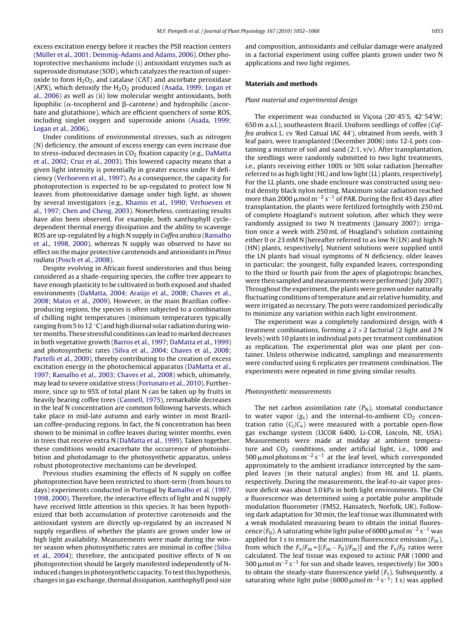excess excitation energy before it reaches the PSII reaction centers ([Müller et al., 2001; Demmig-Adams and Adams, 2006\).](#page-8-0) Other photoprotective mechanisms include (i) antioxidant enzymes such as superoxide dismutase (SOD), which catalyzes the reaction of superoxide to form  $H_2O_2$ , and catalase (CAT) and ascorbate peroxidase (APX), which detoxify the  $H_2O_2$  produced ([Asada, 1999; Logan et](#page-7-0) [al., 2006\)](#page-7-0) as well as (ii) low molecular weight antioxidants, both lipophilic ( $\alpha$ -tocopherol and  $\beta$ -carotene) and hydrophilic (ascorbate and glutathione), which are efficient quenchers of some ROS, including singlet oxygen and superoxide anions [\(Asada, 1999;](#page-7-0) [Logan et al., 2006\).](#page-7-0)

Under conditions of environmental stresses, such as nitrogen (N) deficiency, the amount of excess energy can even increase due to stress-induced decreases in  $CO<sub>2</sub>$  fixation capacity (e.g., [DaMatta](#page-7-0) [et al., 2002; Cruz et al., 2003\).](#page-7-0) This lowered capacity means that a given light intensity is potentially in greater excess under N deficiency [\(Verhoeven et al., 1997\).](#page-8-0) As a consequence, the capacity for photoprotection is expected to be up-regulated to protect low N leaves from photooxidative damage under high light, as shown by several investigators (e.g., [Khamis et al., 1990; Verhoeven et](#page-7-0) [al., 1997; Chen and Cheng, 2003\).](#page-7-0) Nonetheless, contrasting results have also been observed. For example, both xanthophyll cycledependent thermal energy dissipation and the ability to scavenge ROS are up-regulated by a high N supply in Coffea arabica ([Ramalho](#page-8-0) [et al., 1998, 2000\),](#page-8-0) whereas N supply was observed to have no effect on the major protective carotenoids and antioxidants in Pinus radiata [\(Posch et al., 2008\).](#page-8-0)

Despite evolving in African forest understories and thus being considered as a shade-requiring species, the coffee tree appears to have enough plasticity to be cultivated in both exposed and shaded environments [\(DaMatta, 2004; Araújo et al., 2008; Chaves et al.,](#page-7-0) [2008; Matos et al., 2009\).](#page-7-0) However, in the main Brazilian coffeeproducing regions, the species is often subjected to a combination of chilling night temperatures (minimum temperatures typically ranging from 5 to 12 ◦C) and high diurnal solar radiation during winter months. These stressful conditions can lead to marked decreases in both vegetative growth ([Barros et al., 1997; DaMatta et al., 1999\)](#page-7-0) and photosynthetic rates [\(Silva et al., 2004; Chaves et al., 2008;](#page-8-0) [Partelli et al., 2009\),](#page-8-0) thereby contributing to the creation of excess excitation energy in the photochemical apparatus ([DaMatta et al.,](#page-7-0) [1997; Ramalho et al., 2003; Chaves et al., 2008\)](#page-7-0) which, ultimately, may lead to severe oxidative stress ([Fortunato et al., 2010\).](#page-7-0) Furthermore, since up to 95% of total plant N can be taken up by fruits in heavily bearing coffee trees ([Cannell, 1975\),](#page-7-0) remarkable decreases in the leaf N concentration are common following harvests, which take place in mid-late autumn and early winter in most Brazilian coffee-producing regions. In fact, the N concentration has been shown to be minimal in coffee leaves during winter months, even in trees that receive extra N [\(DaMatta et al., 1999\).](#page-7-0) Taken together, these conditions would exacerbate the occurrence of photoinhibition and photodamage to the photosynthetic apparatus, unless robust photoprotective mechanisms can be developed.

Previous studies examining the effects of N supply on coffee photoprotection have been restricted to short-term (from hours to days) experiments conducted in Portugal by [Ramalho et al. \(1997,](#page-8-0) [1998, 2000\). T](#page-8-0)herefore, the interactive effects of light and N supply have received little attention in this species. It has been hypothesized that both accumulation of protective carotenoids and the antioxidant system are directly up-regulated by an increased N supply regardless of whether the plants are grown under low or high light availability. Measurements were made during the winter season when photosynthetic rates are minimal in coffee [\(Silva](#page-8-0) [et al., 2004\);](#page-8-0) therefore, the anticipated positive effects of N on photoprotection should be largely manifested independently of Ninduced changes in photosynthetic capacity. To test this hypothesis, changes in gas exchange, thermal dissipation, xanthophyll pool size

and composition, antioxidants and cellular damage were analyzed in a factorial experiment using coffee plants grown under two N applications and two light regimes.

# **Materials and methods**

# Plant material and experimental design

The experiment was conducted in Viçosa (20°45'S, 42°54'W; 650 m a.s.l.), southeastern Brazil. Uniform seedlings of coffee (Coffea arabica L. cv 'Red Catuaí IAC 44 ), obtained from seeds, with 3 leaf pairs, were transplanted (December 2006) into 12-L pots containing a mixture of soil and sand (2:1, v/v). After transplantation, the seedlings were randomly submitted to two light treatments, i.e., plants receiving either 100% or 50% solar radiation [hereafter referred to as high light (HL) and low light (LL) plants, respectively]. For the LL plants, one shade enclosure was constructed using neutral density black nylon netting. Maximum solar radiation reached more than 2000  $\mu$ mol m<sup>-2</sup> s<sup>-1</sup> of PAR. During the first 45 days after transplantation, the plants were fertilized fortnightly with 250 mL of complete Hoagland's nutrient solution, after which they were randomly assigned to two N treatments (January 2007): irrigation once a week with 250 mL of Hoagland's solution containing either 0 or 23 mM N [hereafter referred to as low N (LN) and high N (HN) plants, respectively]. Nutrient solutions were supplied until the LN plants had visual symptoms of N deficiency, older leaves in particular; the youngest, fully expanded leaves, corresponding to the third or fourth pair from the apex of plagiotropic branches, were then sampled and measurements were performed (July 2007). Throughout the experiment, the plants were grown under naturally fluctuating conditions of temperature and air relative humidity, and were irrigated as necessary. The pots were randomized periodically to minimize any variation within each light environment.

The experiment was a completely randomized design, with 4 treatment combinations, forming a  $2 \times 2$  factorial (2 light and 2 N levels) with 10 plants in individual pots per treatment combination as replication. The experimental plot was one plant per container. Unless otherwise indicated, samplings and measurements were conducted using 6 replicates per treatment combination. The experiments were repeated in time giving similar results.

## Photosynthetic measurements

The net carbon assimilation rate  $(P_N)$ , stomatal conductance to water vapor  $(g_s)$  and the internal-to-ambient  $CO<sub>2</sub>$  concentration ratio ( $C_i/C_a$ ) were measured with a portable open-flow gas exchange system (LICOR 6400, Li-COR, Lincoln, NE, USA). Measurements were made at midday at ambient temperature and  $CO<sub>2</sub>$  conditions, under artificial light, i.e., 1000 and 500 µmol photons m<sup>-2</sup> s<sup>-1</sup> at the leaf level, which corresponded approximately to the ambient irradiance intercepted by the sampled leaves (in their natural angles) from HL and LL plants, respectively. During the measurements, the leaf-to-air vapor pressure deficit was about 3.0 kPa in both light environments. The Chl a fluorescence was determined using a portable pulse amplitude modulation fluorometer (FMS2, Hansatech, Norfolk, UK). Following dark adaptation for 30 min, the leaf tissue was illuminated with a weak modulated measuring beam to obtain the initial fluorescence ( $F_0$ ). A saturating white light pulse of 6000 µmol m<sup>-2</sup> s<sup>-1</sup> was applied for 1 s to ensure the maximum fluorescence emission  $(F_m)$ , from which the  $F_v/F_m = [(F_m - F_0)/F_m)]$  and the  $F_v/F_0$  ratios were calculated. The leaf tissue was exposed to actinic PAR (1000 and 500 µmol m<sup>-2</sup> s<sup>-1</sup> for sun and shade leaves, respectively) for 300 s to obtain the steady-state fluorescence yield  $(F_s)$ . Subsequently, a saturating white light pulse (6000  $\mu$ mol m<sup>-2</sup> s<sup>-1</sup>; 1 s) was applied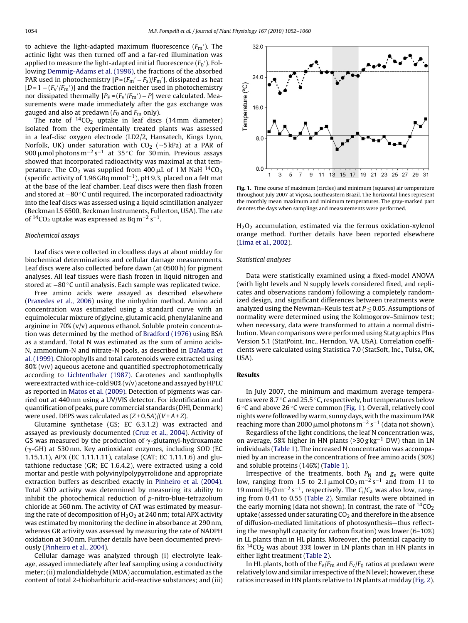to achieve the light-adapted maximum fluorescence  $(F_{\rm m}^{\phantom i})$ . The actinic light was then turned off and a far-red illumination was applied to measure the light-adapted initial fluorescence ( $F_{\rm 0}'$  ). Following [Demmig-Adams et al. \(1996\), t](#page-7-0)he fractions of the absorbed PAR used in photochemistry  $[P=(F_{\rm m}'-F_{\rm s})/F_{\rm m}']$ , dissipated as heat  $[D=1-(F_{V}/F_{m}')]$  and the fraction neither used in photochemistry nor dissipated thermally  $[P_{\rm E}\!=\!(F_{\rm V}/F_{\rm m}^{\phantom{\prime}})-P]$  were calculated. Measurements were made immediately after the gas exchange was gauged and also at predawn ( $F_0$  and  $F_m$  only).

The rate of  $^{14}CO_2$  uptake in leaf discs (14 mm diameter) isolated from the experimentally treated plants was assessed in a leaf-disc oxygen electrode (LD2/2, Hansatech, Kings Lynn, Norfolk, UK) under saturation with  $CO_2$  (~5 kPa) at a PAR of 900 µmol photons m<sup>-2</sup> s<sup>-1</sup> at 35 °C for 30 min. Previous assays showed that incorporated radioactivity was maximal at that temperature. The CO<sub>2</sub> was supplied from 400  $\mu$ L of 1 M NaH <sup>14</sup>CO<sub>3</sub> (specific activity of 1.96 GBq mmol<sup>-1</sup>), pH 9.3, placed on a felt mat at the base of the leaf chamber. Leaf discs were then flash frozen and stored at −80 ◦C until required. The incorporated radioactivity into the leaf discs was assessed using a liquid scintillation analyzer (Beckman LS 6500, Beckman Instruments, Fullerton, USA). The rate of  $14CO<sub>2</sub>$  uptake was expressed as Bq m<sup>-2</sup> s<sup>-1</sup>.

### Biochemical assays

Leaf discs were collected in cloudless days at about midday for biochemical determinations and cellular damage measurements. Leaf discs were also collected before dawn (at 0500 h) for pigment analyses. All leaf tissues were flash frozen in liquid nitrogen and stored at −80 ◦C until analysis. Each sample was replicated twice.

Free amino acids were assayed as described elsewhere ([Praxedes et al., 2006\)](#page-8-0) using the ninhydrin method. Amino acid concentration was estimated using a standard curve with an equimolecular mixture of glycine, glutamic acid, phenylalanine and arginine in 70% (v/v) aqueous ethanol. Soluble protein concentration was determined by the method of [Bradford \(1976\)](#page-7-0) using BSA as a standard. Total N was estimated as the sum of amino acids-N, ammonium-N and nitrate-N pools, as described in [DaMatta et](#page-7-0) [al. \(1999\). C](#page-7-0)hlorophylls and total carotenoids were extracted using  $80\%$  (v/v) aqueous acetone and quantified spectrophotometrically according to [Lichtenthaler \(1987\).](#page-7-0) Carotenes and xanthophylls were extracted with ice-cold 90% (v/v) acetone and assayed by HPLC as reported in [Matos et al. \(2009\). D](#page-7-0)etection of pigments was carried out at 440 nm using a UV/VIS detector. For identification and quantification of peaks, pure commercial standards (DHI, Denmark) were used. DEPS was calculated as  $(Z+0.5A)/(V+A+Z)$ .

Glutamine synthetase (GS; EC 6.3.1.2) was extracted and assayed as previously documented [\(Cruz et al., 2004\).](#page-7-0) Activity of GS was measured by the production of  $\gamma$ -glutamyl-hydroxamate (γ-GH) at 530 nm. Key antioxidant enzymes, including SOD (EC 1.15.1.1), APX (EC 1.11.1.11), catalase (CAT; EC 1.11.1.6) and glutathione reductase (GR; EC 1.6.4.2), were extracted using a cold mortar and pestle with polyvinylpolypyrrolidone and appropriate extraction buffers as described exactly in [Pinheiro et al. \(2004\).](#page-8-0) Total SOD activity was determined by measuring its ability to inhibit the photochemical reduction of p-nitro-blue-tetrazolium chloride at 560 nm. The activity of CAT was estimated by measuring the rate of decomposition of  $H_2O_2$  at 240 nm; total APX activity was estimated by monitoring the decline in absorbance at 290 nm, whereas GR activity was assessed by measuring the rate of NADPH oxidation at 340 nm. Further details have been documented previously [\(Pinheiro et al., 2004\).](#page-8-0)

Cellular damage was analyzed through (i) electrolyte leakage, assayed immediately after leaf sampling using a conductivity meter; (ii) malondialdehyde (MDA) accumulation, estimated as the content of total 2-thiobarbituric acid-reactive substances; and (iii)



**Fig. 1.** Time course of maximum (circles) and minimum (squares) air temperature throughout July 2007 at Vicosa, southeastern Brazil. The horizontal lines represent the monthly mean maximum and minimum temperatures. The gray-marked part denotes the days when samplings and measurements were performed.

 $H<sub>2</sub>O<sub>2</sub>$  accumulation, estimated via the ferrous oxidation-xylenol orange method. Further details have been reported elsewhere [\(Lima et al., 2002\).](#page-7-0)

# Statistical analyses

Data were statistically examined using a fixed-model ANOVA (with light levels and N supply levels considered fixed, and replicates and observations random) following a completely randomized design, and significant differences between treatments were analyzed using the Newman–Keuls test at  $P \le 0.05$ . Assumptions of normality were determined using the Kolmogorov–Smirnov test; when necessary, data were transformed to attain a normal distribution. Mean comparisons were performed using Statgraphics Plus Version 5.1 (StatPoint, Inc., Herndon, VA, USA). Correlation coefficients were calculated using Statistica 7.0 (StatSoft, Inc., Tulsa, OK, USA).

# **Results**

In July 2007, the minimum and maximum average temperatures were 8.7 °C and 25.5 °C, respectively, but temperatures below 6 ◦C and above 26 ◦C were common (Fig. 1). Overall, relatively cool nights were followed by warm, sunny days, with the maximum PAR reaching more than 2000 µmol photons m<sup>-2</sup> s<sup>-1</sup> (data not shown).

Regardless of the light conditions, the leaf N concentration was, on average, 58% higher in HN plants (>30 g kg−<sup>1</sup> DW) than in LN individuals [\(Table 1\).](#page-3-0) The increased N concentration was accompanied by an increase in the concentrations of free amino acids (30%) and soluble proteins (146%) ([Table 1\).](#page-3-0)

Irrespective of the treatments, both  $P_N$  and  $g_S$  were quite low, ranging from 1.5 to 2.1  $\mu$ mol CO<sub>2</sub> m<sup>-2</sup> s<sup>-1</sup> and from 11 to 19 mmol H<sub>2</sub>O m<sup>-2</sup> s<sup>-1</sup>, respectively. The  $C_i/C_a$  was also low, ranging from 0.41 to 0.55 ([Table 2\).](#page-3-0) Similar results were obtained in the early morning (data not shown). In contrast, the rate of  $^{14}CO<sub>2</sub>$ uptake (assessed under saturating  $CO<sub>2</sub>$  and therefore in the absence of diffusion-mediated limitations of photosynthesis—thus reflecting the mesophyll capacity for carbon fixation) was lower (6–10%) in LL plants than in HL plants. Moreover, the potential capacity to fix  $14CO<sub>2</sub>$  was about 33% lower in LN plants than in HN plants in either light treatment [\(Table 2\).](#page-3-0)

In HL plants, both of the  $F_{\rm V}/F_{\rm m}$  and  $F_{\rm V}/F_{\rm 0}$  ratios at predawn were relatively low and similar irrespective of the N level; however, these ratios increased in HN plants relative to LN plants at midday ([Fig. 2\).](#page-3-0)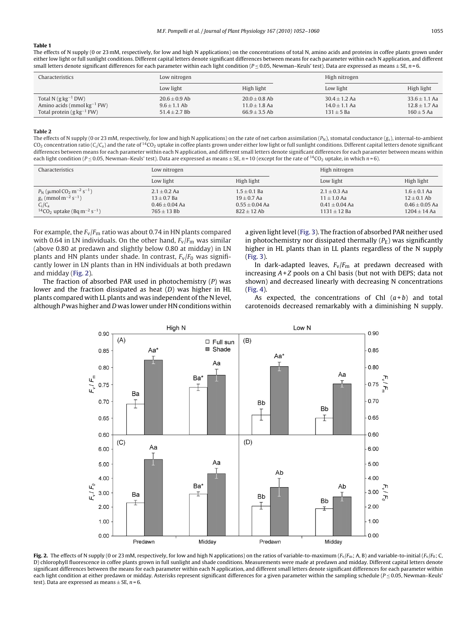# <span id="page-3-0"></span>**Table 1**

The effects of N supply (0 or 23 mM, respectively, for low and high N applications) on the concentrations of total N, amino acids and proteins in coffee plants grown under either low light or full sunlight conditions. Different capital letters denote significant differences between means for each parameter within each N application, and different small letters denote significant differences for each parameter within each light condition ( $P \le 0.05$ , Newman–Keuls' test). Data are expressed as means  $\pm$  SE, n = 6.

| Characteristics                                                                                       | Low nitrogen                                             |                                                           | High nitrogen                                        |                                                        |
|-------------------------------------------------------------------------------------------------------|----------------------------------------------------------|-----------------------------------------------------------|------------------------------------------------------|--------------------------------------------------------|
|                                                                                                       | Low light                                                | High light                                                | Low light                                            | High light                                             |
| Total N $(g \ kg^{-1} DW)$<br>Amino acids (mmol $kg^{-1}$ FW)<br>Total protein $(g \, kg^{-1} \, FW)$ | $20.6 \pm 0.9$ Ab<br>$9.6 \pm 1.1$ Ab<br>$51.4 + 2.7$ Bh | $20.0 \pm 0.8$ Ab<br>$11.0 \pm 1.8$ Aa<br>$66.9 + 3.5$ Ab | $30.4 \pm 1.2$ Aa<br>$14.0 + 1.1$ Aa<br>$131 + 5$ Ba | $33.6 \pm 1.1$ Aa<br>$12.8 \pm 1.7$ Aa<br>$160 + 5$ Aa |

### **Table 2**

The effects of N supply (0 or 23 mM, respectively, for low and high N applications) on the rate of net carbon assimilation  $(P_N)$ , stomatal conductance  $(g_S)$ , internal-to-ambient CO<sub>2</sub> concentration ratio (C<sub>i</sub>/C<sub>a</sub>) and the rate of <sup>14</sup>CO<sub>2</sub> uptake in coffee plants grown under either low light or full sunlight conditions. Different capital letters denote significant differences between means for each parameter within each N application, and different small letters denote significant differences for each parameter between means within each light condition ( $P \le 0.05$ , Newman–Keuls' test). Data are expressed as means  $\pm$  SE,  $n = 10$  (except for the rate of <sup>14</sup>CO<sub>2</sub> uptake, in which  $n = 6$ ).

| Characteristics                                                            | Low nitrogen       |                    | High nitrogen    |                    |
|----------------------------------------------------------------------------|--------------------|--------------------|------------------|--------------------|
|                                                                            | Low light          | High light         | Low light        | High light         |
| $P_N$ ( $\mu$ mol CO <sub>2</sub> m <sup>-2</sup> s <sup>-1</sup> )        | $2.1 \pm 0.2$ Aa   | $1.5 \pm 0.1$ Ba   | $2.1 \pm 0.3$ Aa | $1.6 \pm 0.1$ Aa   |
| $g_s$ (mmol m <sup>-2</sup> s <sup>-1</sup> )                              | $13 + 0.7$ Ba      | $19 + 0.7$ Aa      | $11 + 1.0$ Aa    | $12 + 0.1$ Ab      |
| $C_i/C_a$                                                                  | $0.46 \pm 0.04$ Aa | $0.55 \pm 0.04$ Aa | $0.41 + 0.04$ Aa | $0.46 \pm 0.05$ Aa |
| <sup>14</sup> CO <sub>2</sub> uptake (Bq m <sup>-2</sup> s <sup>-1</sup> ) | $765 \pm 13$ Bb    | $822 \pm 12$ Ab    | $1131 + 12$ Ba   | $1204 + 14$ Aa     |

For example, the  $F_V/F_m$  ratio was about 0.74 in HN plants compared with 0.64 in LN individuals. On the other hand,  $F_v/F_m$  was similar (above 0.80 at predawn and slightly below 0.80 at midday) in LN plants and HN plants under shade. In contrast,  $F_v/F_0$  was significantly lower in LN plants than in HN individuals at both predawn and midday (Fig. 2).

The fraction of absorbed PAR used in photochemistry (P) was lower and the fraction dissipated as heat  $(D)$  was higher in HL plants compared with LL plants and was independent of the N level, although P was higher and D was lower under HN conditions within a given light level [\(Fig. 3\).](#page-4-0) The fraction of absorbed PAR neither used in photochemistry nor dissipated thermally  $(P_F)$  was significantly higher in HL plants than in LL plants regardless of the N supply [\(Fig. 3\).](#page-4-0)

In dark-adapted leaves,  $F_v/F_m$  at predawn decreased with increasing  $A + Z$  pools on a Chl basis (but not with DEPS; data not shown) and decreased linearly with decreasing N concentrations [\(Fig. 4\).](#page-4-0)

As expected, the concentrations of Chl  $(a + b)$  and total carotenoids decreased remarkably with a diminishing N supply.



**Fig. 2.** The effects of N supply (0 or 23 mM, respectively, for low and high N applications) on the ratios of variable-to-maximum ( $F_v/F_m$ ; A, B) and variable-to-initial ( $F_v/F_0$ ; C, D) chlorophyll fluorescence in coffee plants grown in full sunlight and shade conditions. Measurements were made at predawn and midday. Different capital letters denote significant differences between the means for each parameter within each N application, and different small letters denote significant differences for each parameter within each light condition at either predawn or midday. Asterisks represent significant differences for a given parameter within the sampling schedule ( $P \le 0.05$ , Newman–Keuls' test). Data are expressed as means  $\pm$  SE, n = 6.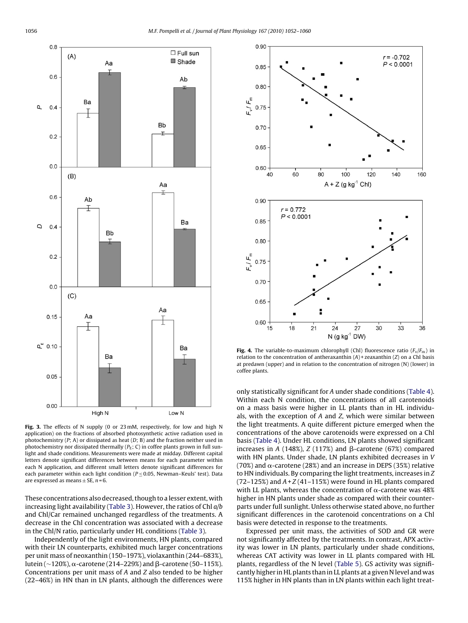<span id="page-4-0"></span>

**Fig. 3.** The effects of N supply (0 or 23 mM, respectively, for low and high N application) on the fractions of absorbed photosynthetic active radiation used in photochemistry  $(P; A)$  or dissipated as heat  $(D; B)$  and the fraction neither used in photochemistry nor dissipated thermally ( $P<sub>E</sub>$ ; C) in coffee plants grown in full sunlight and shade conditions. Measurements were made at midday. Different capital letters denote significant differences between means for each parameter within each N application, and different small letters denote significant differences for each parameter within each light condition ( $P \le 0.05$ , Newman–Keuls' test). Data are expressed as means  $\pm$  SE,  $n = 6$ .

These concentrations also decreased, though to a lesser extent, with increasing light availability [\(Table 3\).](#page-5-0) However, the ratios of Chl a/b and Chl/Car remained unchanged regardless of the treatments. A decrease in the Chl concentration was associated with a decrease in the Chl/N ratio, particularly under HL conditions [\(Table 3\).](#page-5-0)

Independently of the light environments, HN plants, compared with their LN counterparts, exhibited much larger concentrations per unit mass of neoxanthin (150–197%), violaxanthin (244–683%), lutein (~120%), α-carotene (214–229%) and β-carotene (50–115%). Concentrations per unit mass of A and Z also tended to be higher (22–46%) in HN than in LN plants, although the differences were



**Fig. 4.** The variable-to-maximum chlorophyll (Chl) fluorescence ratio  $(F_v/F_m)$  in relation to the concentration of antheraxanthin  $(A)$  + zeaxanthin  $(Z)$  on a Chl basis at predawn (upper) and in relation to the concentration of nitrogen (N) (lower) in coffee plants.

only statistically significant for A under shade conditions ([Table 4\).](#page-5-0) Within each N condition, the concentrations of all carotenoids on a mass basis were higher in LL plants than in HL individuals, with the exception of A and Z, which were similar between the light treatments. A quite different picture emerged when the concentrations of the above carotenoids were expressed on a Chl basis ([Table 4\).](#page-5-0) Under HL conditions, LN plants showed significant increases in A (148%), Z (117%) and  $\beta$ -carotene (67%) compared with HN plants. Under shade, LN plants exhibited decreases in V (70%) and  $\alpha$ -carotene (28%) and an increase in DEPS (35%) relative to HN individuals. By comparing the light treatments, increases in Z  $(72-125%)$  and  $A + Z$  (41–115%) were found in HL plants compared with LL plants, whereas the concentration of  $\alpha$ -carotene was 48% higher in HN plants under shade as compared with their counterparts under full sunlight. Unless otherwise stated above, no further significant differences in the carotenoid concentrations on a Chl basis were detected in response to the treatments.

Expressed per unit mass, the activities of SOD and GR were not significantly affected by the treatments. In contrast, APX activity was lower in LN plants, particularly under shade conditions, whereas CAT activity was lower in LL plants compared with HL plants, regardless of the N level ([Table 5\).](#page-5-0) GS activity was significantly higher in HL plants than in LL plants at a given N level and was 115% higher in HN plants than in LN plants within each light treat-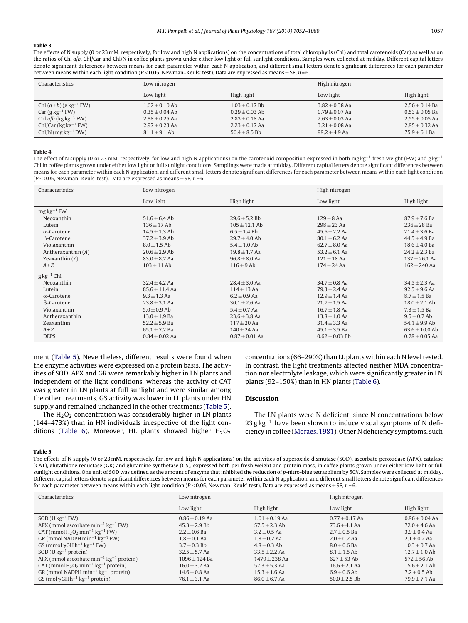## <span id="page-5-0"></span>**Table 3**

The effects of N supply (0 or 23 mM, respectively, for low and high N applications) on the concentrations of total chlorophylls (Chl) and total carotenoids (Car) as well as on the ratios of Chl a/b, Chl/Car and Chl/N in coffee plants grown under either low light or full sunlight conditions. Samples were collected at midday. Different capital letters denote significant differences between means for each parameter within each N application, and different small letters denote significant differences for each parameter between means within each light condition ( $P \le 0.05$ , Newman–Keuls' test). Data are expressed as means  $\pm$  SE,  $n = 6$ .

| Characteristics                       | Low nitrogen       |                    | High nitrogen      |                    |
|---------------------------------------|--------------------|--------------------|--------------------|--------------------|
|                                       | Low light          | High light         | Low light          | High light         |
| Chl $(a + b)$ (g kg <sup>-1</sup> FW) | $1.62 \pm 0.10$ Ab | $1.03 \pm 0.17$ Bb | $3.82 \pm 0.38$ Aa | $2.56 \pm 0.14$ Ba |
| $Car(gkg^{-1}FW)$                     | $0.35 + 0.04$ Ab   | $0.29 + 0.03$ Ab   | $0.79 + 0.07$ Aa   | $0.53 + 0.05$ Ba   |
| Chl $a/b$ (kg kg <sup>-1</sup> FW)    | $2.88 \pm 0.25$ Aa | $2.83 \pm 0.18$ Aa | $2.63 + 0.03$ Aa   | $2.55 + 0.05$ Aa   |
| $Chl/Car$ (kg kg <sup>-1</sup> FW)    | $2.97 \pm 0.23$ Aa | $2.23 \pm 0.17$ Aa | $3.21 \pm 0.08$ Aa | $2.95 \pm 0.32$ Aa |
| $Chl/N$ (mg kg <sup>-1</sup> DW)      | $81.1 \pm 9.1$ Ab  | $50.4 \pm 8.5$ Bb  | $99.2 + 4.9$ Aa    | $75.9 \pm 6.1$ Ba  |

#### **Table 4**

The effect of N supply (0 or 23 mM, respectively, for low and high N applications) on the carotenoid composition expressed in both mg kg<sup>-1</sup> fresh weight (FW) and g kg<sup>-1</sup> Chl in coffee plants grown under either low light or full sunlight conditions. Samplings were made at midday. Different capital letters denote significant differences between means for each parameter within each N application, and different small letters denote significant differences for each parameter between means within each light condition ( $P < 0.05$ , Newman–Keuls' test). Data are expressed as means  $\pm$  SE,  $n = 6$ .

| Characteristics         | Low nitrogen       |                    |                    |                    |
|-------------------------|--------------------|--------------------|--------------------|--------------------|
|                         | Low light          | High light         | Low light          | High light         |
| $mg\,kg^{-1}$ FW        |                    |                    |                    |                    |
| Neoxanthin              | $51.6 + 6.4$ Ab    | $29.6 + 5.2$ Bb    | $129 \pm 8$ Aa     | $87.9 \pm 7.6$ Ba  |
| Lutein                  | $136 \pm 17$ Ab    | $105 \pm 12.1$ Ab  | $298 \pm 23$ Aa    | $236 \pm 28$ Ba    |
| $\alpha$ -Carotene      | $14.5 \pm 1.3$ Ab  | $6.5 \pm 1.4$ Bb   | $45.6 \pm 2.2$ Aa  | $21.4 \pm 3.6$ Ba  |
| $\beta$ -Carotene       | $37.2 \pm 3.9$ Ab  | $29.7 \pm 4.0$ Ab  | $80.1 \pm 6.2$ Aa  | $44.5 \pm 4.9$ Ba  |
| Violaxanthin            | $8.0 \pm 1.5$ Ab   | $5.4 \pm 1.0$ Ab   | $62.7 \pm 8.0$ Aa  | $18.6 + 4.0$ Ba    |
| Antheraxanthin $(A)$    | $20.6 \pm 2.9$ Ab  | $19.8 \pm 1.7$ Aa  | $53.2 \pm 6.1$ Aa  | $24.2 \pm 2.3$ Ba  |
| Zeaxanthin $(Z)$        | $83.0 \pm 8.7$ Aa  | $96.8 \pm 8.0$ Aa  | $121 \pm 18$ Aa    | $137 \pm 26.1$ Aa  |
| $A+Z$                   | $103 \pm 11$ Ab    | $116 \pm 9$ Ab     | $174 \pm 24$ Aa    | $162 \pm 240$ Aa   |
| $g \text{ kg}^{-1}$ Chl |                    |                    |                    |                    |
| Neoxanthin              | $32.4 + 4.2$ Aa    | $28.4 \pm 3.0$ Aa  | $34.7 \pm 0.8$ Aa  | $34.5 \pm 2.3$ Aa  |
| Lutein                  | $85.6 \pm 11.4$ Aa | $114 \pm 13$ Aa    | $79.3 \pm 2.4$ Aa  | $92.5 \pm 9.6$ Aa  |
| $\alpha$ -Carotene      | $9.3 \pm 1.3$ Aa   | $6.2 \pm 0.9$ Aa   | $12.9 \pm 1.4$ Aa  | $8.7 \pm 1.5$ Ba   |
| $\beta$ -Carotene       | $23.8 \pm 3.1$ Aa  | $30.1 \pm 2.6$ Aa  | $21.7 \pm 1.5$ Aa  | $18.0 \pm 2.1$ Ab  |
| Violaxanthin            | $5.0 \pm 0.9$ Ab   | $5.4 \pm 0.7$ Aa   | $16.7 \pm 1.8$ Aa  | $7.3 \pm 1.5$ Ba   |
| Antheraxanthin          | $13.0 \pm 1.9$ Ba  | $23.6 \pm 3.8$ Aa  | $13.8 \pm 1.0$ Aa  | $9.5 \pm 0.7$ Ab   |
| Zeaxanthin              | $52.2 \pm 5.9$ Ba  | $117 \pm 20$ Aa    | $31.4 \pm 3.3$ Aa  | $54.1 \pm 9.9$ Ab  |
| $A+Z$                   | $65.1 \pm 7.2$ Ba  | $140 \pm 24$ Aa    | $45.1 \pm 3.5$ Ba  | $63.6 \pm 10.0$ Ab |
| <b>DEPS</b>             | $0.84 \pm 0.02$ Aa | $0.87 \pm 0.01$ Aa | $0.62 \pm 0.03$ Bb | $0.78 \pm 0.05$ Aa |

ment (Table 5). Nevertheless, different results were found when the enzyme activities were expressed on a protein basis. The activities of SOD, APX and GR were remarkably higher in LN plants and independent of the light conditions, whereas the activity of CAT was greater in LN plants at full sunlight and were similar among the other treatments. GS activity was lower in LL plants under HN

supply and remained unchanged in the other treatments (Table 5). The  $H_2O_2$  concentration was considerably higher in LN plants **Discussion**

(144–473%) than in HN individuals irrespective of the light con-ditions ([Table 6\)](#page-6-0). Moreover, HL plants showed higher  $H_2O_2$  concentrations (66–290%) than LL plants within each N level tested. In contrast, the light treatments affected neither MDA concentration nor electrolyte leakage, which were significantly greater in LN plants (92–150%) than in HN plants [\(Table 6\).](#page-6-0)

The LN plants were N deficient, since N concentrations below 23 g kg<sup>-1</sup> have been shown to induce visual symptoms of N deficiency in coffee [\(Moraes, 1981\).](#page-8-0) Other N deficiency symptoms, such

#### **Table 5**

The effects of N supply (0 or 23 mM, respectively, for low and high N applications) on the activities of superoxide dismutase (SOD), ascorbate peroxidase (APX), catalase (CAT), glutathione reductase (GR) and glutamine synthetase (GS), expressed both per fresh weight and protein mass, in coffee plants grown under either low light or full sunlight conditions. One unit of SOD was defined as the amount of enzyme that inhibited the reduction of p-nitro-blue tetrazolium by 50%. Samples were collected at midday. Different capital letters denote significant differences between means for each parameter within each N application, and different small letters denote significant differences for each parameter between means within each light condition ( $P \le 0.05$ , Newman–Keuls' test). Data are expressed as means  $\pm$  SE, n = 6.

| Characteristics                                                | Low nitrogen      |                   | High nitrogen     |                   |
|----------------------------------------------------------------|-------------------|-------------------|-------------------|-------------------|
|                                                                | Low light         | High light        | Low light         | High light        |
| SOD (U $kg^{-1}$ FW)                                           | $0.86 + 0.19$ Aa  | $1.01 + 0.19$ Aa  | $0.77 + 0.17$ Aa  | $0.96 + 0.04$ Aa  |
| APX (mmol ascorbate min <sup>-1</sup> kg <sup>-1</sup> FW)     | $45.3 + 2.9$ Bb   | $57.5 + 2.3$ Ab   | $73.6 + 4.1$ Aa   | $72.0 + 4.6$ Aa   |
| CAT (mmol $H_2O_2$ min <sup>-1</sup> kg <sup>-1</sup> FW)      | $2.2 + 0.6$ Ba    | $3.2 + 0.5$ Aa    | $2.7 + 0.5$ Ba    | $3.9 + 0.4$ Aa    |
| $GR$ (mmol NADPH min <sup>-1</sup> kg <sup>-1</sup> FW)        | $1.8 + 0.1$ Aa    | $1.8 + 0.2$ Aa    | $2.0 + 0.2$ Aa    | $2.1 + 0.2$ Aa    |
| GS (mmol $\gamma$ GH h <sup>-1</sup> kg <sup>-1</sup> FW)      | $3.7 + 0.3$ Bb    | $4.8 + 0.3$ Ab    | $8.0 + 0.6$ Ba    | $10.3 + 0.7$ Aa   |
| SOD (U $kg^{-1}$ protein)                                      | $32.5 + 5.7$ Aa   | $33.5 + 2.2$ Aa   | $8.1 + 1.5$ Ab    | $12.7 + 1.0$ Ab   |
| APX (mmol ascorbate min <sup>-1</sup> $kg^{-1}$ protein)       | $1096 + 124$ Ba   | $1479 + 238$ Aa   | $627 \pm 53$ Ab   | $572 \pm 56$ Ab   |
| CAT (mmol $H_2O_2$ min <sup>-1</sup> kg <sup>-1</sup> protein) | $16.0 + 3.2$ Ba   | $57.3 + 5.3$ Aa   | $16.6 + 2.1$ Aa   | $15.6 + 2.1$ Ab   |
| $GR$ (mmol NADPH min <sup>-1</sup> kg <sup>-1</sup> protein)   | $14.6 + 0.8$ Aa   | $15.3 + 1.6$ Aa   | $6.9 + 0.6$ Ab    | $7.2 \pm 0.5$ Ab  |
| $GS$ (mol $\gamma G H h^{-1}$ kg <sup>-1</sup> protein)        | $76.1 \pm 3.1$ Aa | $86.0 \pm 6.7$ Aa | $50.0 \pm 2.5$ Bb | $79.9 \pm 7.1$ Aa |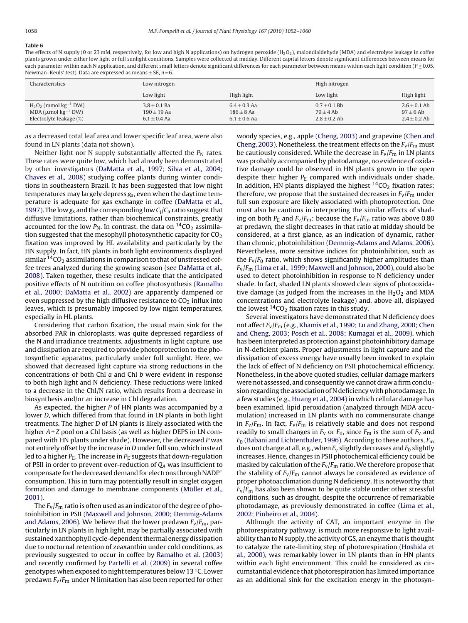#### <span id="page-6-0"></span>**Table 6**

The effects of N supply (0 or 23 mM, respectively, for low and high N applications) on hydrogen peroxide  $(H_2O_2)$ , malondialdehyde (MDA) and electrolyte leakage in coffee plants grown under either low light or full sunlight conditions. Samples were collected at midday. Different capital letters denote significant differences between means for each parameter within each N application, and different small letters denote significant differences for each parameter between means within each light condition ( $P \le 0.05$ , Newman–Keuls' test). Data are expressed as means  $\pm$  SE,  $n = 6$ .

| Characteristics                                                 | Low nitrogen                        |                                    | High nitrogen                     |                                   |
|-----------------------------------------------------------------|-------------------------------------|------------------------------------|-----------------------------------|-----------------------------------|
|                                                                 | Low light                           | High light                         | Low light                         | High light                        |
| $H_2O_2$ (mmol kg <sup>-1</sup> DW)                             | $3.8 \pm 0.1$ Ba                    | $6.4 \pm 0.3$ Aa                   | $0.7 \pm 0.1$ Bb                  | $2.6 \pm 0.1$ Ab                  |
| MDA ( $\mu$ mol kg <sup>-1</sup> DW)<br>Electrolyte leakage (%) | $190 \pm 19$ Aa<br>$6.1 \pm 0.4$ Aa | $186 \pm 8$ Aa<br>$6.1 \pm 0.6$ Aa | $79 \pm 4$ Ab<br>$2.8 \pm 0.2$ Ab | $97 \pm 6$ Ab<br>$2.4 \pm 0.2$ Ab |

as a decreased total leaf area and lower specific leaf area, were also found in LN plants (data not shown).

Neither light nor N supply substantially affected the  $P<sub>N</sub>$  rates. These rates were quite low, which had already been demonstrated by other investigators ([DaMatta et al., 1997; Silva et al., 2004;](#page-7-0) [Chaves et al., 2008\)](#page-7-0) studying coffee plants during winter conditions in southeastern Brazil. It has been suggested that low night temperatures may largely depress  $g_s$ , even when the daytime temperature is adequate for gas exchange in coffee ([DaMatta et al.,](#page-7-0) [1997\).](#page-7-0) The low  $g_s$  and the corresponding low  $C_i/C_a$  ratio suggest that diffusive limitations, rather than biochemical constraints, greatly accounted for the low  $P_N$ . In contrast, the data on  $^{14}CO_2$  assimilation suggested that the mesophyll photosynthetic capacity for  $CO<sub>2</sub>$ fixation was improved by HL availability and particularly by the HN supply. In fact, HN plants in both light environments displayed similar  $14CO<sub>2</sub>$  assimilations in comparison to that of unstressed coffee trees analyzed during the growing season (see [DaMatta et al.,](#page-7-0) [2008\).](#page-7-0) Taken together, these results indicate that the anticipated positive effects of N nutrition on coffee photosynthesis ([Ramalho](#page-8-0) [et al., 2000; DaMatta et al., 2002\)](#page-8-0) are apparently dampened or even suppressed by the high diffusive resistance to  $CO<sub>2</sub>$  influx into leaves, which is presumably imposed by low night temperatures, especially in HL plants.

Considering that carbon fixation, the usual main sink for the absorbed PAR in chloroplasts, was quite depressed regardless of the N and irradiance treatments, adjustments in light capture, use and dissipation are required to provide photoprotection to the photosynthetic apparatus, particularly under full sunlight. Here, we showed that decreased light capture via strong reductions in the concentrations of both Chl  $a$  and Chl  $b$  were evident in response to both high light and N deficiency. These reductions were linked to a decrease in the Chl/N ratio, which results from a decrease in biosynthesis and/or an increase in Chl degradation.

As expected, the higher P of HN plants was accompanied by a lower D, which differed from that found in LN plants in both light treatments. The higher D of LN plants is likely associated with the higher  $A + Z$  pool on a Chl basis (as well as higher DEPS in LN compared with HN plants under shade). However, the decreased P was not entirely offset by the increase in D under full sun, which instead led to a higher  $P_F$ . The increase in  $P_F$  suggests that down-regulation of PSII in order to prevent over-reduction of  $Q_A$  was insufficient to compensate for the decreased demand for electrons through NADP<sup>+</sup> consumption. This in turn may potentially result in singlet oxygen formation and damage to membrane components [\(Müller et al.,](#page-8-0) [2001\).](#page-8-0)

The  $F_{\rm V}/F_{\rm m}$  ratio is often used as an indicator of the degree of photoinhibition in PSII [\(Maxwell and Johnson, 2000; Demmig-Adams](#page-8-0) [and Adams, 2006\).](#page-8-0) We believe that the lower predawn  $F_v/F_m$ , particularly in LN plants in high light, may be partially associated with sustained xanthophyll cycle-dependent thermal energy dissipation due to nocturnal retention of zeaxanthin under cold conditions, as previously suggested to occur in coffee by [Ramalho et al. \(2003\)](#page-8-0) and recently confirmed by [Partelli et al. \(2009\)](#page-8-0) in several coffee genotypes when exposed to night temperatures below 13 ◦C. Lower predawn  $F_V/F_m$  under N limitation has also been reported for other

woody species, e.g., apple ([Cheng, 2003\)](#page-7-0) and grapevine [\(Chen and](#page-7-0) [Cheng, 2003\).](#page-7-0) Nonetheless, the treatment effects on the  $F_v/F_m$  must be cautiously considered. While the decrease in  $F_v/F_m$  in LN plants was probably accompanied by photodamage, no evidence of oxidative damage could be observed in HN plants grown in the open despite their higher  $P_E$  compared with individuals under shade. In addition, HN plants displayed the highest  $14CO<sub>2</sub>$  fixation rates; therefore, we propose that the sustained decreases in  $F_v/F_m$  under full sun exposure are likely associated with photoprotection. One must also be cautious in interpreting the similar effects of shading on both  $P_{\rm E}$  and  $F_{\rm V}/F_{\rm m}$ : because the  $F_{\rm V}/F_{\rm m}$  ratio was above 0.80 at predawn, the slight decreases in that ratio at midday should be considered, at a first glance, as an indication of dynamic, rather than chronic, photoinhibition [\(Demmig-Adams and Adams, 2006\).](#page-7-0) Nevertheless, more sensitive indices for photoinhibition, such as the  $F_v/F_0$  ratio, which shows significantly higher amplitudes than  $F_{\rm v}/F_{\rm m}$  [\(Lima et al., 1999; Maxwell and Johnson, 2000\),](#page-7-0) could also be used to detect photoinhibition in response to N deficiency under shade. In fact, shaded LN plants showed clear signs of photooxidative damage (as judged from the increases in the  $H_2O_2$  and MDA concentrations and electrolyte leakage) and, above all, displayed the lowest  ${}^{14}CO_2$  fixation rates in this study.

Several investigators have demonstrated that N deficiency does not affect  $F_v/F_m$  (e.g., [Khamis et al., 1990; Lu and Zhang, 2000; Chen](#page-7-0) [and Cheng, 2003; Posch et al., 2008; Kumagai et al., 2009\),](#page-7-0) which has been interpreted as protection against photoinhibitory damage in N-deficient plants. Proper adjustments in light capture and the dissipation of excess energy have usually been invoked to explain the lack of effect of N deficiency on PSII photochemical efficiency. Nonetheless, in the above quoted studies, cellular damage markers were not assessed, and consequently we cannot draw a firm conclusion regarding the association of N deficiency with photodamage. In a few studies (e.g., [Huang et al., 2004\) i](#page-7-0)n which cellular damage has been examined, lipid peroxidation (analyzed through MDA accumulation) increased in LN plants with no commensurate change in  $F_v/F_m$ . In fact,  $F_v/F_m$  is relatively stable and does not respond readily to small changes in  $F_v$  or  $F_0$ , since  $F_m$  is the sum of  $F_v$  and  $F_0$  [\(Babani and Lichtenthaler, 1996\).](#page-7-0) According to these authors,  $F_m$ does not change at all, e.g., when  $F_v$  slightly decreases and  $F_0$  slightly increases. Hence, changes in PSII photochemical efficiency could be masked by calculation of the  $F_{\rm V}/F_{\rm m}$  ratio. We therefore propose that the stability of  $F_V/F_m$  cannot always be considered as evidence of proper photoacclimation during N deficiency. It is noteworthy that  $F_{\rm V}/F_{\rm m}$  has also been shown to be quite stable under other stressful conditions, such as drought, despite the occurrence of remarkable photodamage, as previously demonstrated in coffee ([Lima et al.,](#page-7-0) [2002; Pinheiro et al., 2004\).](#page-7-0)

Although the activity of CAT, an important enzyme in the photorespiratory pathway, is much more responsive to light availability than to N supply, the activity of GS, an enzyme that is thought to catalyze the rate-limiting step of photorespiration [\(Hoshida et](#page-7-0) [al., 2000\),](#page-7-0) was remarkably lower in LN plants than in HN plants within each light environment. This could be considered as circumstantial evidence that photorespiration has limited importance as an additional sink for the excitation energy in the photosyn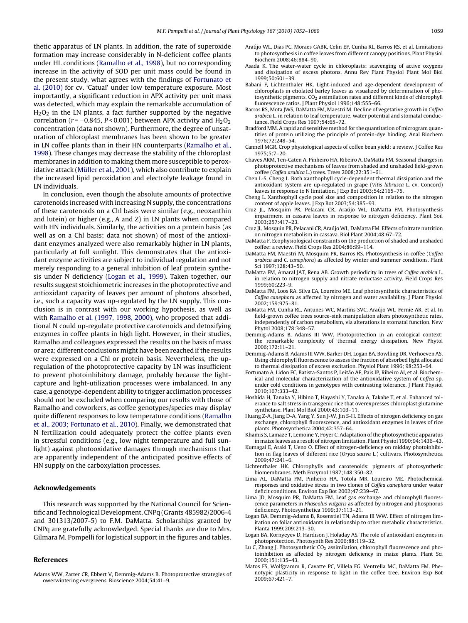<span id="page-7-0"></span>thetic apparatus of LN plants. In addition, the rate of superoxide formation may increase considerably in N-deficient coffee plants under HL conditions [\(Ramalho et al., 1998\),](#page-8-0) but no corresponding increase in the activity of SOD per unit mass could be found in the present study, what agrees with the findings of Fortunato et al. (2010) for cv. 'Catuaí' under low temperature exposure. Most importantly, a significant reduction in APX activity per unit mass was detected, which may explain the remarkable accumulation of  $H_2O_2$  in the LN plants, a fact further supported by the negative correlation ( $r = -0.845$ ,  $P < 0.001$ ) between APX activity and H<sub>2</sub>O<sub>2</sub> concentration (data not shown). Furthermore, the degree of unsaturation of chloroplast membranes has been shown to be greater in LN coffee plants than in their HN counterparts [\(Ramalho et al.,](#page-8-0) [1998\).](#page-8-0) These changes may decrease the stability of the chloroplast membranes in addition to making them more susceptible to peroxidative attack ([Müller et al., 2001\),](#page-8-0) which also contribute to explain the increased lipid peroxidation and electrolyte leakage found in LN individuals.

In conclusion, even though the absolute amounts of protective carotenoids increased with increasing N supply, the concentrations of these carotenoids on a Chl basis were similar (e.g., neoxanthin and lutein) or higher (e.g., A and Z) in LN plants when compared with HN individuals. Similarly, the activities on a protein basis (as well as on a Chl basis; data not shown) of most of the antioxidant enzymes analyzed were also remarkably higher in LN plants, particularly at full sunlight. This demonstrates that the antioxidant enzyme activities are subject to individual regulation and not merely responding to a general inhibition of leaf protein synthesis under N deficiency (Logan et al., 1999). Taken together, our results suggest stoichiometric increases in the photoprotective and antioxidant capacity of leaves per amount of photons absorbed, i.e., such a capacity was up-regulated by the LN supply. This conclusion is in contrast with our working hypothesis, as well as with [Ramalho et al. \(1997, 1998, 2000\), w](#page-8-0)ho proposed that additional N could up-regulate protective carotenoids and detoxifying enzymes in coffee plants in high light. However, in their studies, Ramalho and colleagues expressed the results on the basis of mass or area; different conclusions might have been reached if the results were expressed on a Chl or protein basis. Nevertheless, the upregulation of the photoprotective capacity by LN was insufficient to prevent photoinhibitory damage, probably because the lightcapture and light-utilization processes were imbalanced. In any case, a genotype-dependent ability to trigger acclimation processes should not be excluded when comparing our results with those of Ramalho and coworkers, as coffee genotypes/species may display quite different responses to low temperature conditions ([Ramalho](#page-8-0) [et al., 2003; Fortunato et al., 2010\).](#page-8-0) Finally, we demonstrated that N fertilization could adequately protect the coffee plants even in stressful conditions (e.g., low night temperature and full sunlight) against photooxidative damages through mechanisms that are apparently independent of the anticipated positive effects of HN supply on the carboxylation processes.

## **Acknowledgements**

This research was supported by the National Council for Scientific and Technological Development, CNPq (Grants 485982/2006-4 and 301313/2007-5) to F.M. DaMatta. Scholarships granted by CNPq are gratefully acknowledged. Special thanks are due to Mrs. Gilmara M. Pompelli for logistical support in the figures and tables.

### **References**

Adams WW, Zarter CR, Ebbert V, Demmig-Adams B. Photoprotective strategies of owerwintering evergreens. Bioscience 2004;54:41–9.

- Araújo WL, Dias PC, Moraes GABK, Celin EF, Cunha RL, Barros RS, et al. Limitations to photosynthesis in coffee leaves from different canopy positions. Plant Physiol Biochem 2008;46:884–90.
- Asada K. The water-water cycle in chloroplasts: scavenging of active oxygens and dissipation of excess photons. Annu Rev Plant Physiol Plant Mol Biol 1999;50:601–39.
- Babani F, Lichtenthaler HK. Light-induced and age-dependent development of chloroplasts in etiolated barley leaves as visualized by determination of photosynthetic pigments, CO<sub>2</sub> assimilation rates and different kinds of chlorophyll fluorescence ratios. J Plant Physiol 1996;148:555–66.
- Barros RS, Mota JWS, DaMatta FM, Maestri M. Decline of vegetative growth in Coffea arabica L. in relation to leaf temperature, water potential and stomatal conductance. Field Crops Res 1997;54:65–72.
- Bradford MM. A rapid and sensitive method for the quantitation of microgram quantities of protein utilizing the principle of protein-dye binding. Anal Biochem 1976;72:248–54.
- Cannell MGR. Crop physiological aspects of coffee bean yield: a review. J Coffee Res 1975;5:7–20.
- Chaves ARM, Ten-Caten A, Pinheiro HA, Ribeiro A, DaMatta FM. Seasonal changes in photoprotective mechanisms of leaves from shaded and unshaded field-grown coffee (Coffea arabica L.) trees. Trees 2008;22:351–61.
- Chen L-S, Cheng L. Both xanthophyll cycle-dependent thermal dissipation and the antioxidant system are up-regulated in grape (Vitis labrusca L. cv. Concord) leaves in response to N limitation. J Exp Bot 2003;54:2165–75.
- Cheng L. Xanthophyll cycle pool size and composition in relation to the nitrogen content of apple leaves. J Exp Bot 2003;54:385-93.
- Cruz JL, Mosquim PR, Pelacani CR, Araújo WL, DaMatta FM. Photosynthesis impairment in cassava leaves in response to nitrogen deficiency. Plant Soil 2003;257:417–23.
- Cruz JL, Mosquin PR, Pelacani CR, Araújo WL, DaMatta FM. Effects of nitrate nutrition on nitrogen metabolism in cassava. Biol Plant 2004;48:67–72.
- DaMatta F. Ecophysiological constraints on the production of shaded and unshaded coffee: a review. Field Crops Res 2004;86:99–114.
- DaMatta FM, Maestri M, Mosquim PR, Barros RS. Photosynthesis in coffee (Coffea arabica and C. canephora) as affected by winter and summer conditions. Plant Sci 1997;128:43–50.
- DaMatta FM, Amaral JAT, Rena AB. Growth periodicity in trees of Coffea arabica L. in relation to nitrogen supply and nitrate reductase activity. Field Crops Res 1999;60:223–9.
- DaMatta FM, Loos RA, Silva EA, Loureiro ME. Leaf photosynthetic characteristics of Coffea canephora as affected by nitrogen and water availability. J Plant Physiol 2002;159:975–81.
- DaMatta FM, Cunha RL, Antunes WC, Martins SVC, Araújo WL, Fernie AR, et al. In field-grown coffee trees source-sink manipulation alters photosynthetic rates, independently of carbon metabolism, via alterations in stomatal function. New Phytol 2008;178:348–57.
- Demmig-Adams B, Adams III WW. Photoprotection in an ecological context: the remarkable complexity of thermal energy dissipation. New Phytol 2006;172:11–21.
- Demmig-Adams B, Adams III WW, Barker DH, Logan BA. Bowlling DR, Verhoeven AS. Using chlorophyll fluorescence to assess the fraction of absorbed light allocated to thermal dissipation of excess excitation. Physiol Plant 1996; 98:253–64.
- Fortunato A, Lidon FC, Batista-Santos P, Leitão AE, Pais IP, Ribeiro AI, et al. Biochemical and molecular characterization of the antioxidative system of Coffea sp. under cold conditions in genotypes with contrasting tolerance. J Plant Physiol 2010;167:333–42.
- Hoshida H, Tanaka Y, Hibino T, Hayashi Y, Tanaka A, Takabe T, et al. Enhanced tolerance to salt stress in transgenic rice that overexpresses chloroplast glutamine synthetase. Plant Mol Biol 2000;43:103–11.
- Huang Z-A, Jiang D-A, Yang Y, Sun J-W, Jin S-H. Effects of nitrogen deficiency on gas exchange, chlorophyll fluorescence, and antioxidant enzymes in leaves of rice plants. Photosynthetica 2004;42:357–64.
- Khamis S, Lamaze T, Lemoine Y, Foyer C. Adaptation of the photosynthetic apparatus inmaize leaves as a result of nitrogen limitation. Plant Physiol 1990;94:1436–43.
- Kumagai E, Araki T, Ueno O. Effect of nitrogen-deficiency on midday photoinhibition in flag leaves of different rice (Oryza sativa L.) cultivars. Photosynthetica 2009;47:241–6.
- Lichtenthaler HK. Chlorophylls and carotenoids: pigments of photosynthetic biomembranes. Meth Enzymol 1987;148:350–82.
- Lima AL, DaMatta FM, Pinheiro HA, Totola MR, Loureiro ME. Photochemical responses and oxidative stress in two clones of Coffea canephora under water deficit conditions. Environ Exp Bot 2002;47:239–47.
- Lima JD, Mosquim PR, DaMatta FM. Leaf gas exchange and chlorophyll fluorescence parameters in Phaseolus vulgaris as affected by nitrogen and phosphorus deficiency. Photosynthetica 1999;37:113–21.
- Logan BA, Demmig-Adams B, Rosenstiel TN, Adams III WW. Effect of nitrogen limitation on foliar antioxidants in relationship to other metabolic characteristics. Planta 1999;209:213–30.
- Logan BA, Kornyeyev D, Hardison J, Holaday AS. The role of antioxidant enzymes in photoprotection. Photosynth Res 2006;88:119–32.
- Lu C, Zhang J. Photosynthetic  $CO<sub>2</sub>$  assimilation, chlorophyll fluorescence and photoinhibition as affected by nitrogen deficiency in maize plants. Plant Sci 2000;151:135–43.
- Matos FS, Wolfgramm R, Cavatte PC, Villela FG, Ventrella MC, DaMatta FM. Phenotypic plasticity in response to light in the coffee tree. Environ Exp Bot 2009;67:421–7.